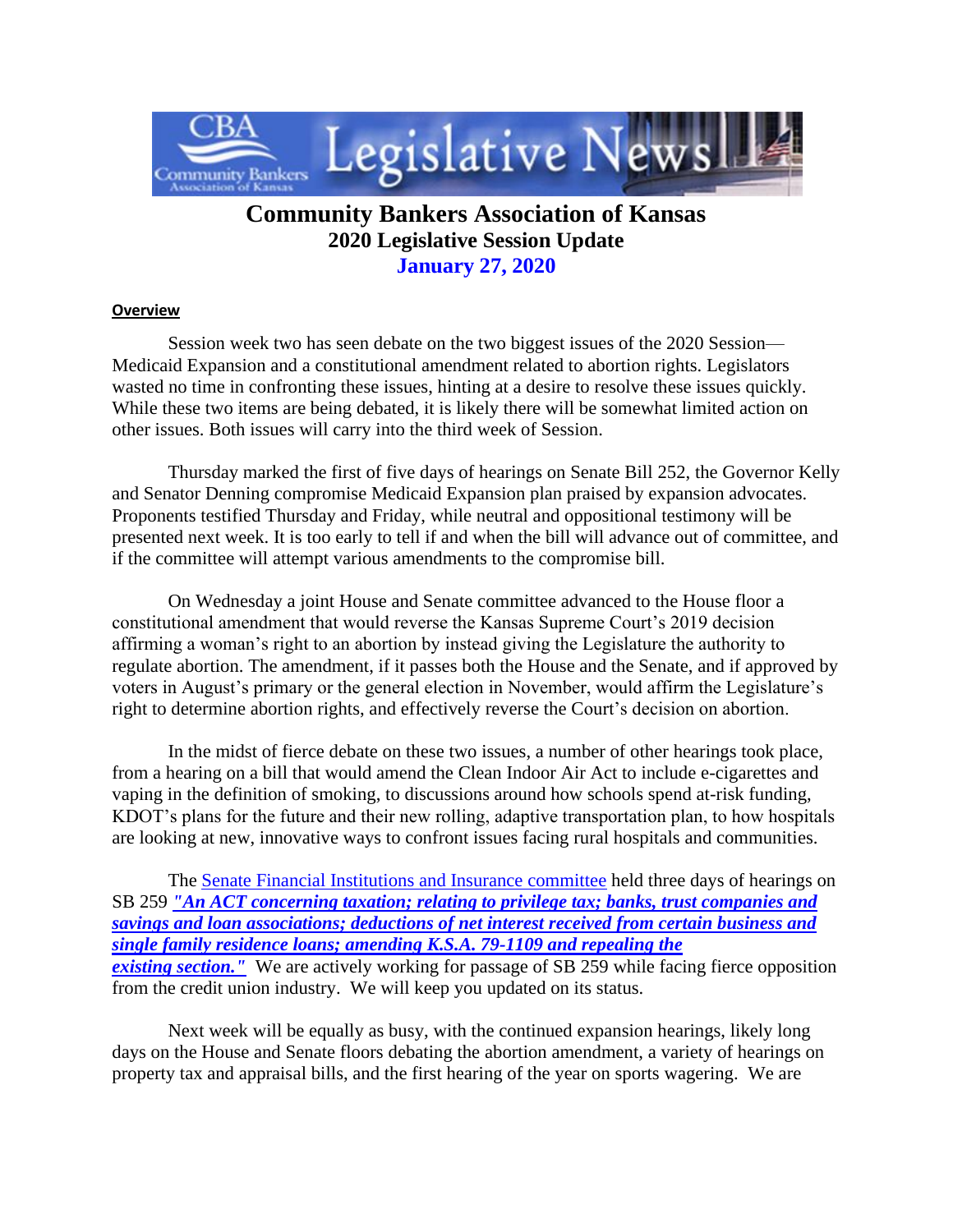

## **Community Bankers Association of Kansas 2020 Legislative Session Update January 27, 2020**

## **Overview**

 Session week two has seen debate on the two biggest issues of the 2020 Session— Medicaid Expansion and a constitutional amendment related to abortion rights. Legislators wasted no time in confronting these issues, hinting at a desire to resolve these issues quickly. While these two items are being debated, it is likely there will be somewhat limited action on other issues. Both issues will carry into the third week of Session.

 Thursday marked the first of five days of hearings on Senate Bill 252, the Governor Kelly and Senator Denning compromise Medicaid Expansion plan praised by expansion advocates. Proponents testified Thursday and Friday, while neutral and oppositional testimony will be presented next week. It is too early to tell if and when the bill will advance out of committee, and if the committee will attempt various amendments to the compromise bill.

 On Wednesday a joint House and Senate committee advanced to the House floor a constitutional amendment that would reverse the Kansas Supreme Court's 2019 decision affirming a woman's right to an abortion by instead giving the Legislature the authority to regulate abortion. The amendment, if it passes both the House and the Senate, and if approved by voters in August's primary or the general election in November, would affirm the Legislature's right to determine abortion rights, and effectively reverse the Court's decision on abortion.

 In the midst of fierce debate on these two issues, a number of other hearings took place, from a hearing on a bill that would amend the Clean Indoor Air Act to include e-cigarettes and vaping in the definition of smoking, to discussions around how schools spend at-risk funding, KDOT's plans for the future and their new rolling, adaptive transportation plan, to how hospitals are looking at new, innovative ways to confront issues facing rural hospitals and communities.

The **Senate Financial Institutions and Insurance committee** held three days of hearings on SB 259 *["An ACT concerning taxation; relating to privilege tax; banks, trust companies and](http://www.kslegislature.org/li/b2019_20/measures/sb259/)  [savings and loan associations; deductions of net interest received from certain business and](http://www.kslegislature.org/li/b2019_20/measures/sb259/)  [single family residence loans; amending K.S.A. 79-1109 and repealing the](http://www.kslegislature.org/li/b2019_20/measures/sb259/)  existing section.* We are actively working for passage of SB 259 while facing fierce opposition from the credit union industry. We will keep you updated on its status.

 Next week will be equally as busy, with the continued expansion hearings, likely long days on the House and Senate floors debating the abortion amendment, a variety of hearings on property tax and appraisal bills, and the first hearing of the year on sports wagering. We are